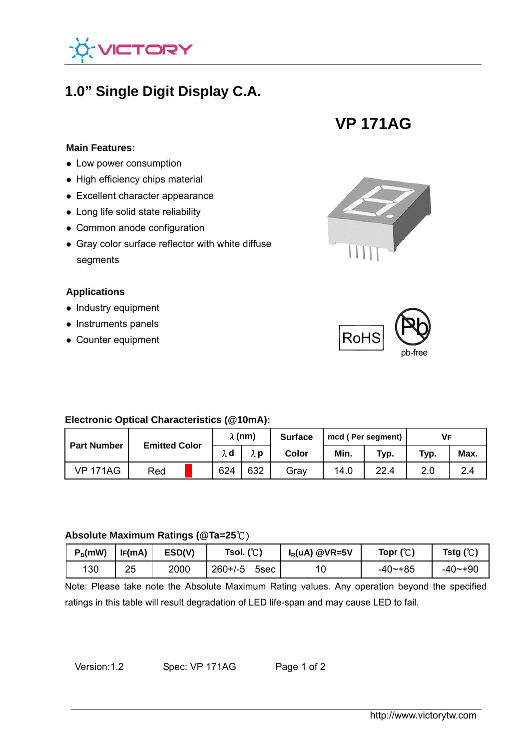

## **1.0" Single Digit Display C.A.**

# **VP 171AG**

#### **Main Features:**

- **Low power consumption**
- High efficiency chips material
- Excellent character appearance
- Long life solid state reliability
- Common anode configuration
- Gray color surface reflector with white diffuse segments

#### **Applications**

- $\bullet$  Industry equipment
- Instruments panels
- Counter equipment





#### **Electronic Optical Characteristics (@10mA):**

| <b>Part Number</b> | <b>Emitted Color</b> |  | $\lambda$ (nm) |     | <b>Surface</b> | mcd (Per segment) |      | Vғ   |      |
|--------------------|----------------------|--|----------------|-----|----------------|-------------------|------|------|------|
|                    |                      |  | λd             | λp  | Color          | Min.              | Typ. | Typ. | Max. |
| <b>VP 171AG</b>    | Red                  |  | 624            | 632 | Grav           | 14.0              | 22.4 | 2.0  | 2.4  |

#### **Absolute Maximum Ratings (@Ta=25**℃)

| $P_D$ (mW) | IF(mA) | ESD(V) | Tsol. $(C)$          | $I_R(uA)$ @VR=5V | Topr $(\mathcal{C})$ | Tstg ( $\mathbb{C}$ ) |
|------------|--------|--------|----------------------|------------------|----------------------|-----------------------|
| 130        | 25     | 2000   | $260 + (-5)$<br>5sec | 10               | $-40$ $-+85$         | $-40 - +90$           |

Note: Please take note the Absolute Maximum Rating values. Any operation beyond the specified ratings in this table will result degradation of LED life-span and may cause LED to fail.

Version:1.2 Spec: VP 171AG Page 1 of 2